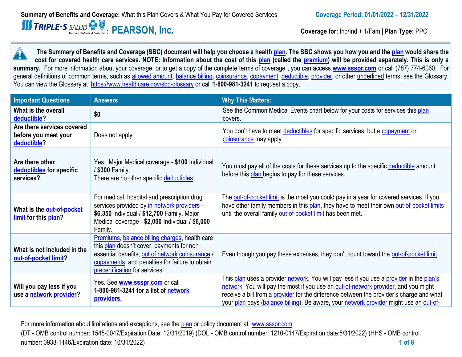**Coverage for:** Ind/Ind + 1/Fam | **Plan Type: PPO** 

**The Summary of Benefits and Coverage (SBC) document will help you choose a health plan. The SBC shows you how you and the plan would share the cost for covered health care services. NOTE: Information about the cost of this plan (called the premium) will be provided separately. This is only a summary.** For more information about your coverage, or to get a copy of the complete terms of coverage , you can access **www.ssspr.com** or call (787) 774-6060. For general definitions of common terms, such as allowed amount, balance billing, coinsurance, copayment, deductible, provider, or other underlined terms, see the Glossary. You can view the Glossary at https://www.healthcare.gov/sbc-glossary or call **1-800-981-3241** to request a copy.

| <b>Important Questions</b>                                        | <b>Answers</b>                                                                                                                                                                                                                       | <b>Why This Matters:</b>                                                                                                                                                                                                                                                                                                                                              |
|-------------------------------------------------------------------|--------------------------------------------------------------------------------------------------------------------------------------------------------------------------------------------------------------------------------------|-----------------------------------------------------------------------------------------------------------------------------------------------------------------------------------------------------------------------------------------------------------------------------------------------------------------------------------------------------------------------|
| What is the overall<br>deductible?                                | \$0                                                                                                                                                                                                                                  | See the Common Medical Events chart below for your costs for services this plan<br>covers.                                                                                                                                                                                                                                                                            |
| Are there services covered<br>before you meet your<br>deductible? | Does not apply                                                                                                                                                                                                                       | You don't have to meet deductibles for specific services, but a copayment or<br>coinsurance may apply.                                                                                                                                                                                                                                                                |
| Are there other<br>deductibles for specific<br>services?          | Yes. Major Medical coverage - \$100 Individual<br>/ \$300 Family.<br>There are no other specific deductibles.                                                                                                                        | You must pay all of the costs for these services up to the specific deductible amount<br>before this plan begins to pay for these services.                                                                                                                                                                                                                           |
| What is the out-of-pocket<br>limit for this plan?                 | For medical, hospital and prescription drug<br>services provided by in-network providers -<br>\$6,350 Individual / \$12,700 Family. Major<br>Medical coverage - \$2,000 Individual / \$6,000<br>Family.                              | The out-of-pocket limit is the most you could pay in a year for covered services. If you<br>have other family members in this plan, they have to meet their own out-of-pocket limits<br>until the overall family out-of-pocket limit has been met.                                                                                                                    |
| What is not included in the<br>out-of-pocket limit?               | Premiums, balance billing charges, health care<br>this plan doesn't cover, payments for non<br>essential benefits, out of network coinsurance /<br>copayments, and penalties for failure to obtain<br>precertification for services. | Even though you pay these expenses, they don't count toward the out-of-pocket limit.                                                                                                                                                                                                                                                                                  |
| Will you pay less if you<br>use a network provider?               | Yes. See www.ssspr.com or call<br>1-800-981-3241 for a list of network<br>providers.                                                                                                                                                 | This plan uses a provider network. You will pay less if you use a provider in the plan's<br>network. You will pay the most if you use an out-of-network provider, and you might<br>receive a bill from a provider for the difference between the provider's charge and what<br>your plan pays (balance billing). Be aware, your network provider might use an out-of- |

For more information about limitations and exceptions, see the plan or policy document at www.ssspr.com (DT - OMB control number: 1545-0047/Expiration Date: 12/31/2019) (DOL - OMB control number: 1210-0147/Expiration date:5/31/2022) (HHS - OMB control number: 0938-1146/Expiration date: 10/31/2022) **1 of 8**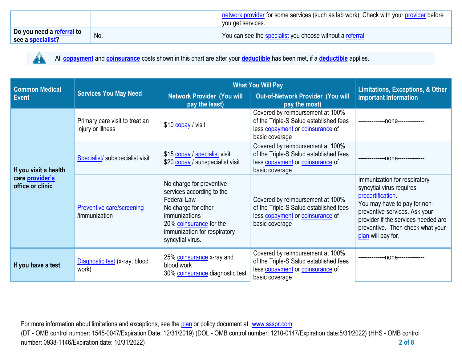|                                                       |     | network provider for some services (such as lab work). Check with your provider before |
|-------------------------------------------------------|-----|----------------------------------------------------------------------------------------|
|                                                       |     | you get services.                                                                      |
| Do you need a <u>referral</u> to<br>see a specialist? | No. | You can see the <b>specialist</b> you choose without a referral.                       |



All **copayment** and **coinsurance** costs shown in this chart are after your **deductible** has been met, if a **deductible** applies.

| <b>Common Medical</b>               | <b>Services You May Need</b>                        | <b>What You Will Pay</b>                                                                                                                                                                                  | <b>Limitations, Exceptions, &amp; Other</b>                                                                                      |                                                                                                                                                                                                                                                 |
|-------------------------------------|-----------------------------------------------------|-----------------------------------------------------------------------------------------------------------------------------------------------------------------------------------------------------------|----------------------------------------------------------------------------------------------------------------------------------|-------------------------------------------------------------------------------------------------------------------------------------------------------------------------------------------------------------------------------------------------|
| <b>Event</b>                        |                                                     | <b>Network Provider (You will</b><br>pay the least)                                                                                                                                                       | Out-of-Network Provider (You will<br>pay the most)                                                                               | <b>Important Information</b>                                                                                                                                                                                                                    |
|                                     | Primary care visit to treat an<br>injury or illness | \$10 copay / visit                                                                                                                                                                                        | Covered by reimbursement at 100%<br>of the Triple-S Salud established fees<br>less copayment or coinsurance of<br>basic coverage | --------------- none--------------                                                                                                                                                                                                              |
| If you visit a health               | Specialist/ subspecialist visit                     | \$15 copay / specialist visit<br>\$20 copay / subspecialist visit                                                                                                                                         | Covered by reimbursement at 100%<br>of the Triple-S Salud established fees<br>less copayment or coinsurance of<br>basic coverage | ---none--------------                                                                                                                                                                                                                           |
| care provider's<br>office or clinic | Preventive care/screening<br>/immunization          | No charge for preventive<br>services according to the<br><b>Federal Law</b><br>No charge for other<br><i>immunizations</i><br>20% coinsurance for the<br>immunization for respiratory<br>syncytial virus. | Covered by reimbursement at 100%<br>of the Triple-S Salud established fees<br>less copayment or coinsurance of<br>basic coverage | Immunization for respiratory<br>syncytial virus requires<br>precertification.<br>You may have to pay for non-<br>preventive services. Ask your<br>provider if the services needed are<br>preventive. Then check what your<br>plan will pay for. |
| If you have a test                  | Diagnostic test (x-ray, blood<br>work)              | 25% coinsurance x-ray and<br>blood work<br>30% coinsurance diagnostic test                                                                                                                                | Covered by reimbursement at 100%<br>of the Triple-S Salud established fees<br>less copayment or coinsurance of<br>basic coverage | -none-------------                                                                                                                                                                                                                              |

For more information about limitations and exceptions, see the plan or policy document at www.ssspr.com (DT - OMB control number: 1545-0047/Expiration Date: 12/31/2019) (DOL - OMB control number: 1210-0147/Expiration date:5/31/2022) (HHS - OMB control number: 0938-1146/Expiration date: 10/31/2022) **2 of 8**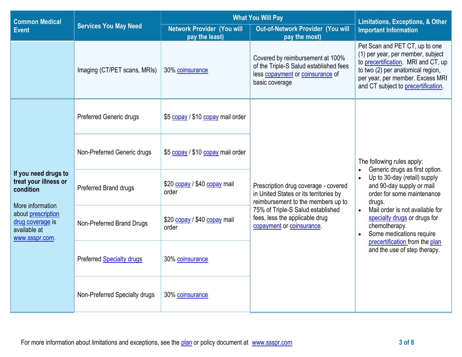| <b>Common Medical</b>                                                                                                                                      |                                                                                                      | <b>What You Will Pay</b>              | <b>Limitations, Exceptions, &amp; Other</b>                                                                                      |                                                                                                                                                                                                                                                                                                |  |
|------------------------------------------------------------------------------------------------------------------------------------------------------------|------------------------------------------------------------------------------------------------------|---------------------------------------|----------------------------------------------------------------------------------------------------------------------------------|------------------------------------------------------------------------------------------------------------------------------------------------------------------------------------------------------------------------------------------------------------------------------------------------|--|
| <b>Event</b>                                                                                                                                               | <b>Services You May Need</b><br><b>Network Provider (You will</b><br>pay the least)<br>pay the most) |                                       | Out-of-Network Provider (You will                                                                                                | <b>Important Information</b>                                                                                                                                                                                                                                                                   |  |
|                                                                                                                                                            | Imaging (CT/PET scans, MRIs)                                                                         | 30% coinsurance                       | Covered by reimbursement at 100%<br>of the Triple-S Salud established fees<br>less copayment or coinsurance of<br>basic coverage | Pet Scan and PET CT, up to one<br>(1) per year, per member, subject<br>to precertification. MRI and CT, up<br>to two (2) per anatomical region,<br>per year, per member. Excess MRI<br>and CT subject to precertification.                                                                     |  |
| If you need drugs to<br>treat your illness or<br>condition<br>More information<br>about prescription<br>drug coverage is<br>available at<br>www.ssspr.com. | <b>Preferred Generic drugs</b>                                                                       | \$5 copay / \$10 copay mail order     | Prescription drug coverage - covered<br>in United States or its territories by<br>reimbursement to the members up to             | The following rules apply:<br>Generic drugs as first option.<br>Up to 30-day (retail) supply<br>and 90-day supply or mail<br>order for some maintenance<br>drugs.<br>Mail order is not available for<br>$\bullet$<br>specialty drugs or drugs for<br>chemotherapy.<br>Some medications require |  |
|                                                                                                                                                            | Non-Preferred Generic drugs                                                                          | \$5 copay / \$10 copay mail order     |                                                                                                                                  |                                                                                                                                                                                                                                                                                                |  |
|                                                                                                                                                            | Preferred Brand drugs                                                                                | \$20 copay / \$40 copay mail<br>order |                                                                                                                                  |                                                                                                                                                                                                                                                                                                |  |
|                                                                                                                                                            | Non-Preferred Brand Drugs                                                                            | \$20 copay / \$40 copay mail<br>order | 75% of Triple-S Salud established<br>fees, less the applicable drug<br>copayment or coinsurance.                                 |                                                                                                                                                                                                                                                                                                |  |
|                                                                                                                                                            | <b>Preferred Specialty drugs</b>                                                                     | 30% coinsurance                       |                                                                                                                                  | precertification from the plan<br>and the use of step therapy.                                                                                                                                                                                                                                 |  |
|                                                                                                                                                            | Non-Preferred Specialty drugs                                                                        | 30% coinsurance                       |                                                                                                                                  |                                                                                                                                                                                                                                                                                                |  |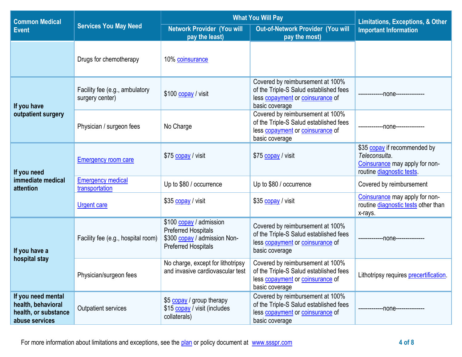| <b>Common Medical</b>                                                              | <b>Services You May Need</b>                      | <b>What You Will Pay</b>                                                                                            | <b>Limitations, Exceptions, &amp; Other</b>                                                                                      |                                                                                                              |
|------------------------------------------------------------------------------------|---------------------------------------------------|---------------------------------------------------------------------------------------------------------------------|----------------------------------------------------------------------------------------------------------------------------------|--------------------------------------------------------------------------------------------------------------|
| <b>Event</b>                                                                       |                                                   | <b>Network Provider (You will</b><br>pay the least)                                                                 | Out-of-Network Provider (You will<br>pay the most)                                                                               | <b>Important Information</b>                                                                                 |
|                                                                                    | Drugs for chemotherapy                            | 10% coinsurance                                                                                                     |                                                                                                                                  |                                                                                                              |
| If you have                                                                        | Facility fee (e.g., ambulatory<br>surgery center) | \$100 copay / visit                                                                                                 | Covered by reimbursement at 100%<br>of the Triple-S Salud established fees<br>less copayment or coinsurance of<br>basic coverage | -------------00ne--------------                                                                              |
| outpatient surgery                                                                 | Physician / surgeon fees                          | No Charge                                                                                                           | Covered by reimbursement at 100%<br>of the Triple-S Salud established fees<br>less copayment or coinsurance of<br>basic coverage | --none---------------                                                                                        |
| If you need                                                                        | <b>Emergency room care</b>                        | \$75 copay / visit                                                                                                  | \$75 copay / visit                                                                                                               | \$35 copay if recommended by<br>Teleconsulta.<br>Coinsurance may apply for non-<br>routine diagnostic tests. |
| immediate medical<br>attention                                                     | <b>Emergency medical</b><br>transportation        | Up to \$80 / occurrence                                                                                             | Up to \$80 / occurrence                                                                                                          | Covered by reimbursement                                                                                     |
|                                                                                    | <b>Urgent care</b>                                | \$35 copay / visit                                                                                                  | \$35 copay / visit                                                                                                               | Coinsurance may apply for non-<br>routine diagnostic tests other than<br>x-rays.                             |
| If you have a                                                                      | Facility fee (e.g., hospital room)                | \$100 copay / admission<br><b>Preferred Hospitals</b><br>\$300 copay / admission Non-<br><b>Preferred Hospitals</b> | Covered by reimbursement at 100%<br>of the Triple-S Salud established fees<br>less copayment or coinsurance of<br>basic coverage | -------------00ne---------------                                                                             |
| hospital stay                                                                      | Physician/surgeon fees                            | No charge, except for lithotripsy<br>and invasive cardiovascular test                                               | Covered by reimbursement at 100%<br>of the Triple-S Salud established fees<br>less copayment or coinsurance of<br>basic coverage | Lithotripsy requires precertification.                                                                       |
| If you need mental<br>health, behavioral<br>health, or substance<br>abuse services | Outpatient services                               | \$5 copay / group therapy<br>\$15 copay / visit (includes<br>collaterals)                                           | Covered by reimbursement at 100%<br>of the Triple-S Salud established fees<br>less copayment or coinsurance of<br>basic coverage | -none--------------                                                                                          |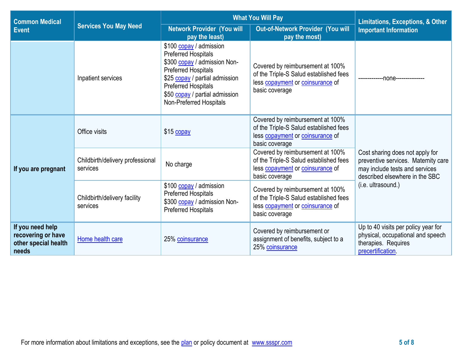| <b>Common Medical</b>                                                   |                                              | <b>What You Will Pay</b>                                                                                                                                                                                                                         | <b>Limitations, Exceptions, &amp; Other</b>                                                                                      |                                                                                                                                            |  |
|-------------------------------------------------------------------------|----------------------------------------------|--------------------------------------------------------------------------------------------------------------------------------------------------------------------------------------------------------------------------------------------------|----------------------------------------------------------------------------------------------------------------------------------|--------------------------------------------------------------------------------------------------------------------------------------------|--|
| <b>Event</b>                                                            | <b>Services You May Need</b>                 | <b>Network Provider (You will</b><br>pay the least)                                                                                                                                                                                              | <b>Out-of-Network Provider (You will</b><br>pay the most)                                                                        | <b>Important Information</b>                                                                                                               |  |
|                                                                         | Inpatient services                           | \$100 copay / admission<br><b>Preferred Hospitals</b><br>\$300 copay / admission Non-<br><b>Preferred Hospitals</b><br>\$25 copay / partial admission<br><b>Preferred Hospitals</b><br>\$50 copay / partial admission<br>Non-Preferred Hospitals | Covered by reimbursement at 100%<br>of the Triple-S Salud established fees<br>less copayment or coinsurance of<br>basic coverage | -none-----------                                                                                                                           |  |
| If you are pregnant                                                     | Office visits                                | \$15 copay                                                                                                                                                                                                                                       | Covered by reimbursement at 100%<br>of the Triple-S Salud established fees<br>less copayment or coinsurance of<br>basic coverage | Cost sharing does not apply for<br>preventive services. Maternity care<br>may include tests and services<br>described elsewhere in the SBC |  |
|                                                                         | Childbirth/delivery professional<br>services | No charge                                                                                                                                                                                                                                        | Covered by reimbursement at 100%<br>of the Triple-S Salud established fees<br>less copayment or coinsurance of<br>basic coverage |                                                                                                                                            |  |
|                                                                         | Childbirth/delivery facility<br>services     | \$100 copay / admission<br><b>Preferred Hospitals</b><br>\$300 copay / admission Non-<br><b>Preferred Hospitals</b>                                                                                                                              | Covered by reimbursement at 100%<br>of the Triple-S Salud established fees<br>less copayment or coinsurance of<br>basic coverage | (i.e. ultrasound.)                                                                                                                         |  |
| If you need help<br>recovering or have<br>other special health<br>needs | Home health care                             | 25% coinsurance                                                                                                                                                                                                                                  | Covered by reimbursement or<br>assignment of benefits, subject to a<br>25% coinsurance                                           | Up to 40 visits per policy year for<br>physical, occupational and speech<br>therapies. Requires<br>precertification.                       |  |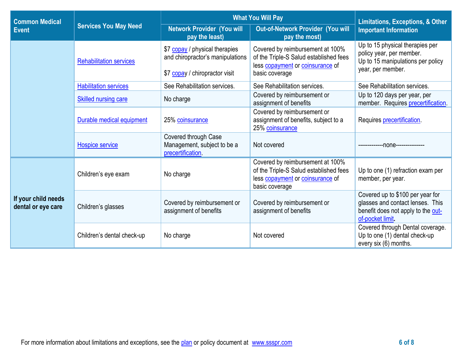| <b>Common Medical</b>                     | <b>Services You May Need</b>   | <b>What You Will Pay</b>                                                                             | <b>Limitations, Exceptions, &amp; Other</b>                                                                                      |                                                                                                                                |
|-------------------------------------------|--------------------------------|------------------------------------------------------------------------------------------------------|----------------------------------------------------------------------------------------------------------------------------------|--------------------------------------------------------------------------------------------------------------------------------|
| <b>Event</b>                              |                                | <b>Network Provider (You will</b><br>pay the least)                                                  | Out-of-Network Provider (You will<br>pay the most)                                                                               | <b>Important Information</b>                                                                                                   |
|                                           | <b>Rehabilitation services</b> | \$7 copay / physical therapies<br>and chiropractor's manipulations<br>\$7 copay / chiropractor visit | Covered by reimbursement at 100%<br>of the Triple-S Salud established fees<br>less copayment or coinsurance of<br>basic coverage | Up to 15 physical therapies per<br>policy year, per member.<br>Up to 15 manipulations per policy<br>year, per member.          |
|                                           | <b>Habilitation services</b>   | See Rehabilitation services.                                                                         | See Rehabilitation services.                                                                                                     | See Rehabilitation services.                                                                                                   |
|                                           | <b>Skilled nursing care</b>    | No charge                                                                                            | Covered by reimbursement or<br>assignment of benefits                                                                            | Up to 120 days per year, per<br>member. Requires precertification.                                                             |
|                                           | Durable medical equipment      | 25% coinsurance                                                                                      | Covered by reimbursement or<br>assignment of benefits, subject to a<br>25% coinsurance                                           | Requires precertification.                                                                                                     |
|                                           | Hospice service                | Covered through Case<br>Management, subject to be a<br>precertification.                             | Not covered                                                                                                                      | --------------none---------------                                                                                              |
| If your child needs<br>dental or eye care | Children's eye exam            | No charge                                                                                            | Covered by reimbursement at 100%<br>of the Triple-S Salud established fees<br>less copayment or coinsurance of<br>basic coverage | Up to one (1) refraction exam per<br>member, per year.                                                                         |
|                                           | Children's glasses             | Covered by reimbursement or<br>assignment of benefits                                                | Covered by reimbursement or<br>assignment of benefits                                                                            | Covered up to \$100 per year for<br>glasses and contact lenses. This<br>benefit does not apply to the out-<br>of-pocket limit. |
|                                           | Children's dental check-up     | No charge                                                                                            | Not covered                                                                                                                      | Covered through Dental coverage.<br>Up to one (1) dental check-up<br>every six (6) months.                                     |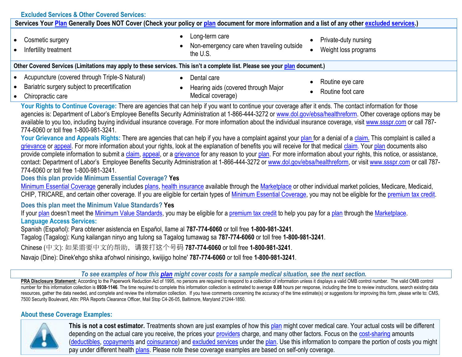| <b>Excluded Services &amp; Other Covered Services:</b>                                                                                                                                                                                                                                                                                                                                                                                                                                                                                                                                                                                                                                                                                                                                                                                                                                                                                                                                                                                                                                                                                                                                                                                                                                                                                                                                                                                                                                                                                                                                                                                                                                                                                                                                                                                                                                                                                                                                                                                                                                          |                                                                                                                                                                                                                                                                                                                                                                                                                                            |                      |
|-------------------------------------------------------------------------------------------------------------------------------------------------------------------------------------------------------------------------------------------------------------------------------------------------------------------------------------------------------------------------------------------------------------------------------------------------------------------------------------------------------------------------------------------------------------------------------------------------------------------------------------------------------------------------------------------------------------------------------------------------------------------------------------------------------------------------------------------------------------------------------------------------------------------------------------------------------------------------------------------------------------------------------------------------------------------------------------------------------------------------------------------------------------------------------------------------------------------------------------------------------------------------------------------------------------------------------------------------------------------------------------------------------------------------------------------------------------------------------------------------------------------------------------------------------------------------------------------------------------------------------------------------------------------------------------------------------------------------------------------------------------------------------------------------------------------------------------------------------------------------------------------------------------------------------------------------------------------------------------------------------------------------------------------------------------------------------------------------|--------------------------------------------------------------------------------------------------------------------------------------------------------------------------------------------------------------------------------------------------------------------------------------------------------------------------------------------------------------------------------------------------------------------------------------------|----------------------|
| Services Your Plan Generally Does NOT Cover (Check your policy or plan document for more information and a list of any other excluded services.)                                                                                                                                                                                                                                                                                                                                                                                                                                                                                                                                                                                                                                                                                                                                                                                                                                                                                                                                                                                                                                                                                                                                                                                                                                                                                                                                                                                                                                                                                                                                                                                                                                                                                                                                                                                                                                                                                                                                                |                                                                                                                                                                                                                                                                                                                                                                                                                                            |                      |
| Cosmetic surgery                                                                                                                                                                                                                                                                                                                                                                                                                                                                                                                                                                                                                                                                                                                                                                                                                                                                                                                                                                                                                                                                                                                                                                                                                                                                                                                                                                                                                                                                                                                                                                                                                                                                                                                                                                                                                                                                                                                                                                                                                                                                                | Long-term care<br>Non-emergency care when traveling outside                                                                                                                                                                                                                                                                                                                                                                                | Private-duty nursing |
| Infertility treatment                                                                                                                                                                                                                                                                                                                                                                                                                                                                                                                                                                                                                                                                                                                                                                                                                                                                                                                                                                                                                                                                                                                                                                                                                                                                                                                                                                                                                                                                                                                                                                                                                                                                                                                                                                                                                                                                                                                                                                                                                                                                           | the U.S.                                                                                                                                                                                                                                                                                                                                                                                                                                   | Weight loss programs |
| Other Covered Services (Limitations may apply to these services. This isn't a complete list. Please see your plan document.)                                                                                                                                                                                                                                                                                                                                                                                                                                                                                                                                                                                                                                                                                                                                                                                                                                                                                                                                                                                                                                                                                                                                                                                                                                                                                                                                                                                                                                                                                                                                                                                                                                                                                                                                                                                                                                                                                                                                                                    |                                                                                                                                                                                                                                                                                                                                                                                                                                            |                      |
| Acupuncture (covered through Triple-S Natural)                                                                                                                                                                                                                                                                                                                                                                                                                                                                                                                                                                                                                                                                                                                                                                                                                                                                                                                                                                                                                                                                                                                                                                                                                                                                                                                                                                                                                                                                                                                                                                                                                                                                                                                                                                                                                                                                                                                                                                                                                                                  | Dental care                                                                                                                                                                                                                                                                                                                                                                                                                                | Routine eye care     |
| Bariatric surgery subject to precertification                                                                                                                                                                                                                                                                                                                                                                                                                                                                                                                                                                                                                                                                                                                                                                                                                                                                                                                                                                                                                                                                                                                                                                                                                                                                                                                                                                                                                                                                                                                                                                                                                                                                                                                                                                                                                                                                                                                                                                                                                                                   | Hearing aids (covered through Major                                                                                                                                                                                                                                                                                                                                                                                                        | Routine foot care    |
| Chiropractic care                                                                                                                                                                                                                                                                                                                                                                                                                                                                                                                                                                                                                                                                                                                                                                                                                                                                                                                                                                                                                                                                                                                                                                                                                                                                                                                                                                                                                                                                                                                                                                                                                                                                                                                                                                                                                                                                                                                                                                                                                                                                               | Medical coverage)                                                                                                                                                                                                                                                                                                                                                                                                                          |                      |
| agencies is: Department of Labor's Employee Benefits Security Administration at 1-866-444-3272 or www.dol.gov/ebsa/healthreform. Other coverage options may be<br>available to you too, including buying individual insurance coverage. For more information about the individual insurance coverage, visit www.ssspr.com or call 787-<br>774-6060 or toll free 1-800-981-3241.<br>Your Grievance and Appeals Rights: There are agencies that can help if you have a complaint against your plan for a denial of a claim. This complaint is called a<br>grievance or appeal. For more information about your rights, look at the explanation of benefits you will receive for that medical claim. Your plan documents also<br>provide complete information to submit a claim, appeal, or a grievance for any reason to your plan. For more information about your rights, this notice, or assistance,<br>contact: Department of Labor's Employee Benefits Security Administration at 1-866-444-3272 or www.dol.gov/ebsa/healthreform, or visit www.ssspr.com or call 787-<br>774-6060 or toll free 1-800-981-3241.<br>Does this plan provide Minimum Essential Coverage? Yes<br>Minimum Essential Coverage generally includes plans, health insurance available through the Marketplace or other individual market policies, Medicare, Medicaid,<br>CHIP, TRICARE, and certain other coverage. If you are eligible for certain types of Minimum Essential Coverage, you may not be eligible for the premium tax credit.<br>Does this plan meet the Minimum Value Standards? Yes<br>If your plan doesn't meet the Minimum Value Standards, you may be eligible for a premium tax credit to help you pay for a plan through the Marketplace.<br><b>Language Access Services:</b><br>Spanish (Español): Para obtener asistencia en Español, llame al 787-774-6060 or toll free 1-800-981-3241.<br>Tagalog (Tagalog): Kung kailangan ninyo ang tulong sa Tagalog tumawag sa 787-774-6060 or toll free 1-800-981-3241.<br>Chinese (中文): 如果需要中文的帮助, 请拨打这个号码 787-774-6060 or toll free 1-800-981-3241. |                                                                                                                                                                                                                                                                                                                                                                                                                                            |                      |
| Navajo (Dine): Dinek'ehgo shika at'ohwol ninisingo, kwiijigo holne' 787-774-6060 or toll free 1-800-981-3241.                                                                                                                                                                                                                                                                                                                                                                                                                                                                                                                                                                                                                                                                                                                                                                                                                                                                                                                                                                                                                                                                                                                                                                                                                                                                                                                                                                                                                                                                                                                                                                                                                                                                                                                                                                                                                                                                                                                                                                                   |                                                                                                                                                                                                                                                                                                                                                                                                                                            |                      |
|                                                                                                                                                                                                                                                                                                                                                                                                                                                                                                                                                                                                                                                                                                                                                                                                                                                                                                                                                                                                                                                                                                                                                                                                                                                                                                                                                                                                                                                                                                                                                                                                                                                                                                                                                                                                                                                                                                                                                                                                                                                                                                 | To see examples of how this plan might cover costs for a sample medical situation, see the next section.                                                                                                                                                                                                                                                                                                                                   |                      |
| PRA Disclosure Statement: According to the Paperwork Reduction Act of 1995, no persons are required to respond to a collection of information unless it displays a valid OMB control number. The valid OMB control<br>number for this information collection is 0938-1146. The time required to complete this information collection is estimated to average 0.08 hours per response, including the time to review instructions, search existing dat<br>resources, gather the data needed, and complete and review the information collection. If you have comments concerning the accuracy of the time estimate(s) or suggestions for improving this form, please write to: CMS,<br>7500 Security Boulevard, Attn: PRA Reports Clearance Officer, Mail Stop C4-26-05, Baltimore, Maryland 21244-1850.                                                                                                                                                                                                                                                                                                                                                                                                                                                                                                                                                                                                                                                                                                                                                                                                                                                                                                                                                                                                                                                                                                                                                                                                                                                                                          |                                                                                                                                                                                                                                                                                                                                                                                                                                            |                      |
| <b>About these Coverage Examples:</b>                                                                                                                                                                                                                                                                                                                                                                                                                                                                                                                                                                                                                                                                                                                                                                                                                                                                                                                                                                                                                                                                                                                                                                                                                                                                                                                                                                                                                                                                                                                                                                                                                                                                                                                                                                                                                                                                                                                                                                                                                                                           |                                                                                                                                                                                                                                                                                                                                                                                                                                            |                      |
|                                                                                                                                                                                                                                                                                                                                                                                                                                                                                                                                                                                                                                                                                                                                                                                                                                                                                                                                                                                                                                                                                                                                                                                                                                                                                                                                                                                                                                                                                                                                                                                                                                                                                                                                                                                                                                                                                                                                                                                                                                                                                                 | This is not a cost estimator. Treatments shown are just examples of how this plan might cover medical care. Your actual costs will be different<br>depending on the actual care you receive, the prices your providers charge, and many other factors. Focus on the cost-sharing amounts<br>(deductibles, copayments and coinsurance) and excluded services under the plan. Use this information to compare the portion of costs you might |                      |

pay under different health **plans**. Please note these coverage examples are based on self-only coverage.